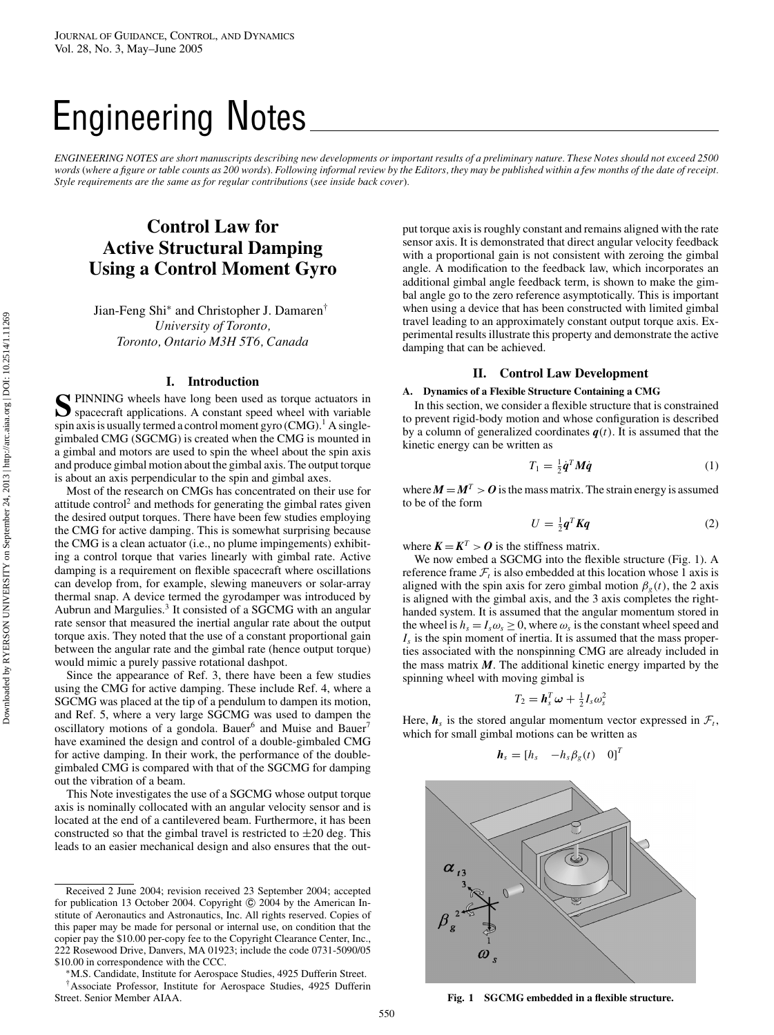# Engineering Notes

*ENGINEERING NOTES are short manuscripts describing new developments or important results of a preliminary nature. These Notes should not exceed 2500 words* (*where a figure or table counts as 200 words*)*. Following informal review by the Editors, they may be published within a few months of the date of receipt. Style requirements are the same as for regular contributions* (*see inside back cover*)*.*

## **Control Law for Active Structural Damping Using a Control Moment Gyro**

Jian-Feng Shi<sup>∗</sup> and Christopher J. Damaren† *University of Toronto, Toronto, Ontario M3H 5T6, Canada*

#### **I. Introduction**

SPINNING wheels have long been used as torque actuators in spacecraft applications. A constant speed wheel with variable spin axis is usually termed a control moment gyro  $(CMG)$ .<sup>1</sup> A singlegimbaled CMG (SGCMG) is created when the CMG is mounted in a gimbal and motors are used to spin the wheel about the spin axis and produce gimbal motion about the gimbal axis. The output torque is about an axis perpendicular to the spin and gimbal axes.

Most of the research on CMGs has concentrated on their use for attitude control<sup>2</sup> and methods for generating the gimbal rates given the desired output torques. There have been few studies employing the CMG for active damping. This is somewhat surprising because the CMG is a clean actuator (i.e., no plume impingements) exhibiting a control torque that varies linearly with gimbal rate. Active damping is a requirement on flexible spacecraft where oscillations can develop from, for example, slewing maneuvers or solar-array thermal snap. A device termed the gyrodamper was introduced by Aubrun and Margulies.<sup>3</sup> It consisted of a SGCMG with an angular rate sensor that measured the inertial angular rate about the output torque axis. They noted that the use of a constant proportional gain between the angular rate and the gimbal rate (hence output torque) would mimic a purely passive rotational dashpot.

Since the appearance of Ref. 3, there have been a few studies using the CMG for active damping. These include Ref. 4, where a SGCMG was placed at the tip of a pendulum to dampen its motion, and Ref. 5, where a very large SGCMG was used to dampen the oscillatory motions of a gondola. Bauer<sup>6</sup> and Muise and Bauer<sup>7</sup> have examined the design and control of a double-gimbaled CMG for active damping. In their work, the performance of the doublegimbaled CMG is compared with that of the SGCMG for damping out the vibration of a beam.

This Note investigates the use of a SGCMG whose output torque axis is nominally collocated with an angular velocity sensor and is located at the end of a cantilevered beam. Furthermore, it has been constructed so that the gimbal travel is restricted to  $\pm 20$  deg. This leads to an easier mechanical design and also ensures that the output torque axis is roughly constant and remains aligned with the rate sensor axis. It is demonstrated that direct angular velocity feedback with a proportional gain is not consistent with zeroing the gimbal angle. A modification to the feedback law, which incorporates an additional gimbal angle feedback term, is shown to make the gimbal angle go to the zero reference asymptotically. This is important when using a device that has been constructed with limited gimbal travel leading to an approximately constant output torque axis. Experimental results illustrate this property and demonstrate the active damping that can be achieved.

### **II. Control Law Development**

#### **A. Dynamics of a Flexible Structure Containing a CMG**

In this section, we consider a flexible structure that is constrained to prevent rigid-body motion and whose configuration is described by a column of generalized coordinates  $q(t)$ . It is assumed that the kinetic energy can be written as

$$
T_1 = \frac{1}{2}\dot{\boldsymbol{q}}^T \boldsymbol{M} \dot{\boldsymbol{q}} \tag{1}
$$

where  $M = M^T > 0$  is the mass matrix. The strain energy is assumed to be of the form

$$
U = \frac{1}{2} \mathbf{q}^T \mathbf{K} \mathbf{q} \tag{2}
$$

where  $K = K^T > 0$  is the stiffness matrix.

We now embed a SGCMG into the flexible structure (Fig. 1). A reference frame  $\mathcal{F}_t$  is also embedded at this location whose 1 axis is aligned with the spin axis for zero gimbal motion  $\beta_g(t)$ , the 2 axis is aligned with the gimbal axis, and the 3 axis completes the righthanded system. It is assumed that the angular momentum stored in the wheel is  $h_s = I_s \omega_s \ge 0$ , where  $\omega_s$  is the constant wheel speed and  $I_s$  is the spin moment of inertia. It is assumed that the mass properties associated with the nonspinning CMG are already included in the mass matrix *M*. The additional kinetic energy imparted by the spinning wheel with moving gimbal is

$$
T_2 = \boldsymbol{h}_s^T \boldsymbol{\omega} + \tfrac{1}{2} I_s \omega_s^2
$$

Here,  $h_s$  is the stored angular momentum vector expressed in  $\mathcal{F}_t$ , which for small gimbal motions can be written as

 $h_s = [h_s - h_s \beta_g(t) \ 0]^T$ 



**Fig. 1 SGCMG embedded in a flexible structure.**

Received 2 June 2004; revision received 23 September 2004; accepted for publication 13 October 2004. Copyright  $@$  2004 by the American Institute of Aeronautics and Astronautics, Inc. All rights reserved. Copies of this paper may be made for personal or internal use, on condition that the copier pay the \$10.00 per-copy fee to the Copyright Clearance Center, Inc., 222 Rosewood Drive, Danvers, MA 01923; include the code 0731-5090/05 \$10.00 in correspondence with the CCC. \* M.S. Candidate, Institute for Aerospace Studies, 4925 Dufferin Street.

<sup>†</sup>Associate Professor, Institute for Aerospace Studies, 4925 Dufferin Street. Senior Member AIAA.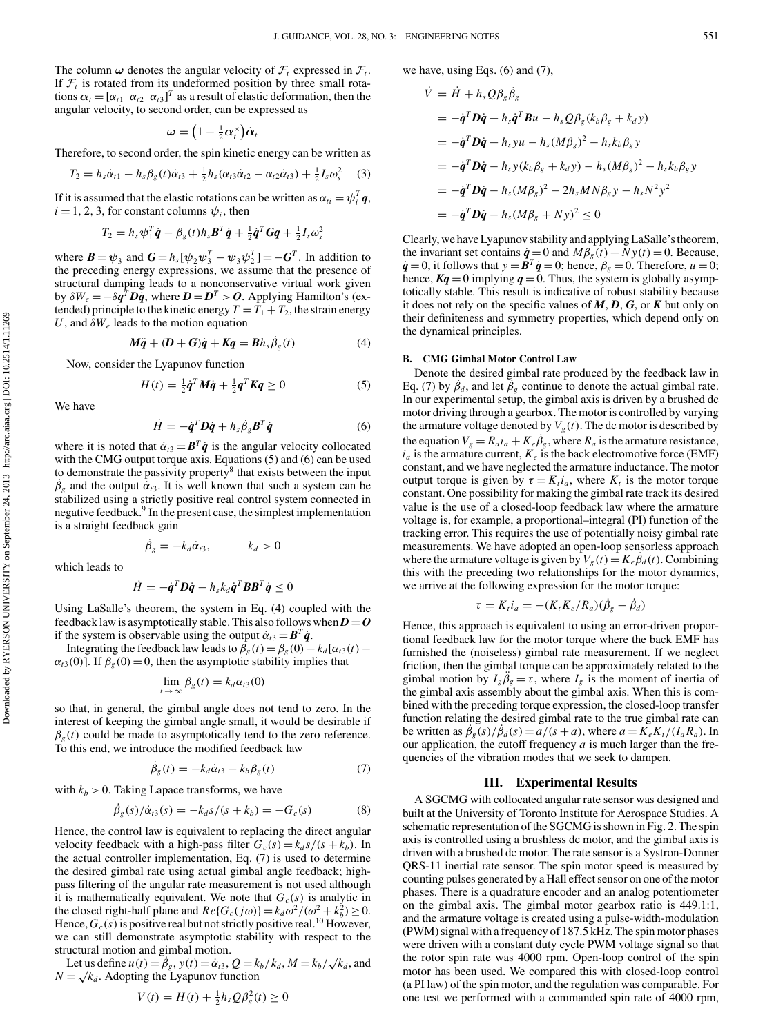The column  $\omega$  denotes the angular velocity of  $\mathcal{F}_t$  expressed in  $\mathcal{F}_t$ . If  $\mathcal{F}_t$  is rotated from its undeformed position by three small rotations  $\alpha_t = [\alpha_{t1} \ \alpha_{t2} \ \alpha_{t3}]^T$  as a result of elastic deformation, then the angular velocity, to second order, can be expressed as

$$
\boldsymbol{\omega} = \big(1 - \tfrac{1}{2}\boldsymbol{\alpha}_t^\times\big)\dot{\boldsymbol{\alpha}}_t
$$

Therefore, to second order, the spin kinetic energy can be written as

$$
T_2 = h_s \dot{\alpha}_{t1} - h_s \beta_g(t) \dot{\alpha}_{t3} + \frac{1}{2} h_s(\alpha_{t3} \dot{\alpha}_{t2} - \alpha_{t2} \dot{\alpha}_{t3}) + \frac{1}{2} I_s \omega_s^2 \tag{3}
$$

If it is assumed that the elastic rotations can be written as  $\alpha_{ti} = \psi_i^T \mathbf{q}$ ,  $i = 1, 2, 3$ , for constant columns  $\psi_i$ , then

$$
T_2 = h_s \psi_1^T \dot{\boldsymbol{q}} - \beta_g(t) h_s \boldsymbol{B}^T \dot{\boldsymbol{q}} + \frac{1}{2} \dot{\boldsymbol{q}}^T \boldsymbol{G} \boldsymbol{q} + \frac{1}{2} I_s \omega_s^2
$$

where  $\mathbf{B} = \psi_3$  and  $\mathbf{G} = h_s[\psi_2 \psi_3^T - \psi_3 \psi_2^T] = -\mathbf{G}^T$ . In addition to the preceding energy expressions, we assume that the presence of structural damping leads to a nonconservative virtual work given by  $\delta W_e = -\delta \dot{q}^T D \dot{q}$ , where  $D = D^T > 0$ . Applying Hamilton's (extended) principle to the kinetic energy  $T = T_1 + T_2$ , the strain energy  $U$ , and  $\delta W_e$  leads to the motion equation

$$
M\ddot{q} + (D + G)\dot{q} + Kq = Bh_s \dot{\beta}_g(t) \tag{4}
$$

Now, consider the Lyapunov function

$$
H(t) = \frac{1}{2}\dot{\boldsymbol{q}}^T \boldsymbol{M} \dot{\boldsymbol{q}} + \frac{1}{2}\boldsymbol{q}^T \boldsymbol{K} \boldsymbol{q} \ge 0 \tag{5}
$$

We have

$$
\dot{H} = -\dot{\boldsymbol{q}}^T \boldsymbol{D} \dot{\boldsymbol{q}} + h_s \dot{\beta}_g \boldsymbol{B}^T \dot{\boldsymbol{q}} \tag{6}
$$

where it is noted that  $\dot{\alpha}_{t3} = \mathbf{B}^T \dot{\mathbf{q}}$  is the angular velocity collocated with the CMG output torque axis. Equations (5) and (6) can be used to demonstrate the passivity property<sup>8</sup> that exists between the input  $\dot{\beta}_g$  and the output  $\dot{\alpha}_{t3}$ . It is well known that such a system can be stabilized using a strictly positive real control system connected in negative feedback.9 In the present case, the simplest implementation is a straight feedback gain

$$
\dot{\beta}_g = -k_d \dot{\alpha}_{t3}, \qquad k_d > 0
$$

which leads to

$$
\dot{H} = -\dot{\boldsymbol{q}}^T \boldsymbol{D} \dot{\boldsymbol{q}} - h_s k_d \dot{\boldsymbol{q}}^T \boldsymbol{B} \boldsymbol{B}^T \dot{\boldsymbol{q}} \leq 0
$$

Using LaSalle's theorem, the system in Eq. (4) coupled with the feedback law is asymptotically stable. This also follows when  $D = O$ if the system is observable using the output  $\dot{\alpha}_{t3} = B^T \dot{q}$ .

Integrating the feedback law leads to  $\beta_g(t) = \beta_g(0) - k_d[\alpha_{t3}(t) \alpha_{t3}(0)$ ]. If  $\beta_g(0) = 0$ , then the asymptotic stability implies that

$$
\lim_{t\to\infty}\beta_g(t)=k_d\alpha_{t3}(0)
$$

so that, in general, the gimbal angle does not tend to zero. In the interest of keeping the gimbal angle small, it would be desirable if  $\beta_g(t)$  could be made to asymptotically tend to the zero reference. To this end, we introduce the modified feedback law

$$
\dot{\beta}_g(t) = -k_d \dot{\alpha}_{t3} - k_b \beta_g(t) \tag{7}
$$

with  $k_b$  > 0. Taking Lapace transforms, we have

$$
\dot{\beta}_g(s)/\dot{\alpha}_{t3}(s) = -k_d s/(s+k_b) = -G_c(s)
$$
\n(8)

Hence, the control law is equivalent to replacing the direct angular velocity feedback with a high-pass filter  $G_c(s) = k_d s/(s + k_b)$ . In the actual controller implementation, Eq. (7) is used to determine the desired gimbal rate using actual gimbal angle feedback; highpass filtering of the angular rate measurement is not used although it is mathematically equivalent. We note that  $G_c(s)$  is analytic in the closed right-half plane and  $Re\{G_c(j\omega)\}=k_d\omega^2/(\omega^2+k_b^2)\geq 0$ . Hence,  $G_c(s)$  is positive real but not strictly positive real.<sup>10</sup> However, we can still demonstrate asymptotic stability with respect to the structural motion and gimbal motion.

Let us define  $u(t) = \beta_g$ ,  $y(t) = \dot{\alpha}_{t3}$ ,  $Q = k_b/k_d$ ,  $M = k_b/\sqrt{k_d}$ , and  $N = \sqrt{k_d}$ . Adopting the Lyapunov function

$$
V(t) = H(t) + \frac{1}{2}h_s Q\beta_g^2(t) \ge 0
$$

we have, using Eqs. (6) and (7),

$$
\dot{V} = \dot{H} + h_s Q \beta_g \dot{\beta}_g
$$
  
=  $-\dot{q}^T D \dot{q} + h_s \dot{q}^T B u - h_s Q \beta_g (k_b \beta_g + k_d y)$   
=  $-\dot{q}^T D \dot{q} + h_s y u - h_s (M \beta_g)^2 - h_s k_b \beta_g y$   
=  $-\dot{q}^T D \dot{q} - h_s y (k_b \beta_g + k_d y) - h_s (M \beta_g)^2 - h_s k_b \beta_g y$   
=  $-\dot{q}^T D \dot{q} - h_s (M \beta_g)^2 - 2 h_s M N \beta_g y - h_s N^2 y^2$   
=  $-\dot{q}^T D \dot{q} - h_s (M \beta_g + N y)^2 \le 0$ 

Clearly, we have Lyapunov stability and applying LaSalle's theorem, the invariant set contains  $\dot{\mathbf{q}} = 0$  and  $M\beta_g(t) + Ny(t) = 0$ . Because,  $\dot{q} = 0$ , it follows that  $y = B^T \dot{q} = 0$ ; hence,  $\beta_g = 0$ . Therefore,  $u = 0$ ; hence,  $Kq = 0$  implying  $q = 0$ . Thus, the system is globally asymptotically stable. This result is indicative of robust stability because it does not rely on the specific values of *M*, *D*, *G*, or *K* but only on their definiteness and symmetry properties, which depend only on the dynamical principles.

#### **B. CMG Gimbal Motor Control Law**

Denote the desired gimbal rate produced by the feedback law in Eq. (7) by  $\dot{\beta}_d$ , and let  $\dot{\beta}_g$  continue to denote the actual gimbal rate. In our experimental setup, the gimbal axis is driven by a brushed dc motor driving through a gearbox. The motor is controlled by varying the armature voltage denoted by  $V_g(t)$ . The dc motor is described by the equation  $V_g = R_a i_a + K_e \dot{\beta}_g$ , where  $R_a$  is the armature resistance,  $i_a$  is the armature current,  $K_e$  is the back electromotive force (EMF) constant, and we have neglected the armature inductance. The motor output torque is given by  $\tau = K_t i_a$ , where  $K_t$  is the motor torque constant. One possibility for making the gimbal rate track its desired value is the use of a closed-loop feedback law where the armature voltage is, for example, a proportional–integral (PI) function of the tracking error. This requires the use of potentially noisy gimbal rate measurements. We have adopted an open-loop sensorless approach where the armature voltage is given by  $V_g(t) = K_e \dot{\beta}_d(t)$ . Combining this with the preceding two relationships for the motor dynamics, we arrive at the following expression for the motor torque:

$$
\tau = K_t i_a = -(K_t K_e / R_a)(\dot{\beta}_g - \dot{\beta}_d)
$$

Hence, this approach is equivalent to using an error-driven proportional feedback law for the motor torque where the back EMF has furnished the (noiseless) gimbal rate measurement. If we neglect friction, then the gimbal torque can be approximately related to the gimbal motion by  $I_g \ddot{\beta}_g = \tau$ , where  $I_g$  is the moment of inertia of the gimbal axis assembly about the gimbal axis. When this is combined with the preceding torque expression, the closed-loop transfer function relating the desired gimbal rate to the true gimbal rate can be written as  $\dot{\beta}_g(s)/\dot{\beta}_d(s) = a/(s+a)$ , where  $a = K_e K_t/(I_a R_a)$ . In our application, the cutoff frequency *a* is much larger than the frequencies of the vibration modes that we seek to dampen.

#### **III. Experimental Results**

A SGCMG with collocated angular rate sensor was designed and built at the University of Toronto Institute for Aerospace Studies. A schematic representation of the SGCMG is shown in Fig. 2. The spin axis is controlled using a brushless dc motor, and the gimbal axis is driven with a brushed dc motor. The rate sensor is a Systron-Donner QRS-11 inertial rate sensor. The spin motor speed is measured by counting pulses generated by a Hall effect sensor on one of the motor phases. There is a quadrature encoder and an analog potentiometer on the gimbal axis. The gimbal motor gearbox ratio is 449.1:1, and the armature voltage is created using a pulse-width-modulation (PWM) signal with a frequency of 187.5 kHz. The spin motor phases were driven with a constant duty cycle PWM voltage signal so that the rotor spin rate was 4000 rpm. Open-loop control of the spin motor has been used. We compared this with closed-loop control (a PI law) of the spin motor, and the regulation was comparable. For one test we performed with a commanded spin rate of 4000 rpm,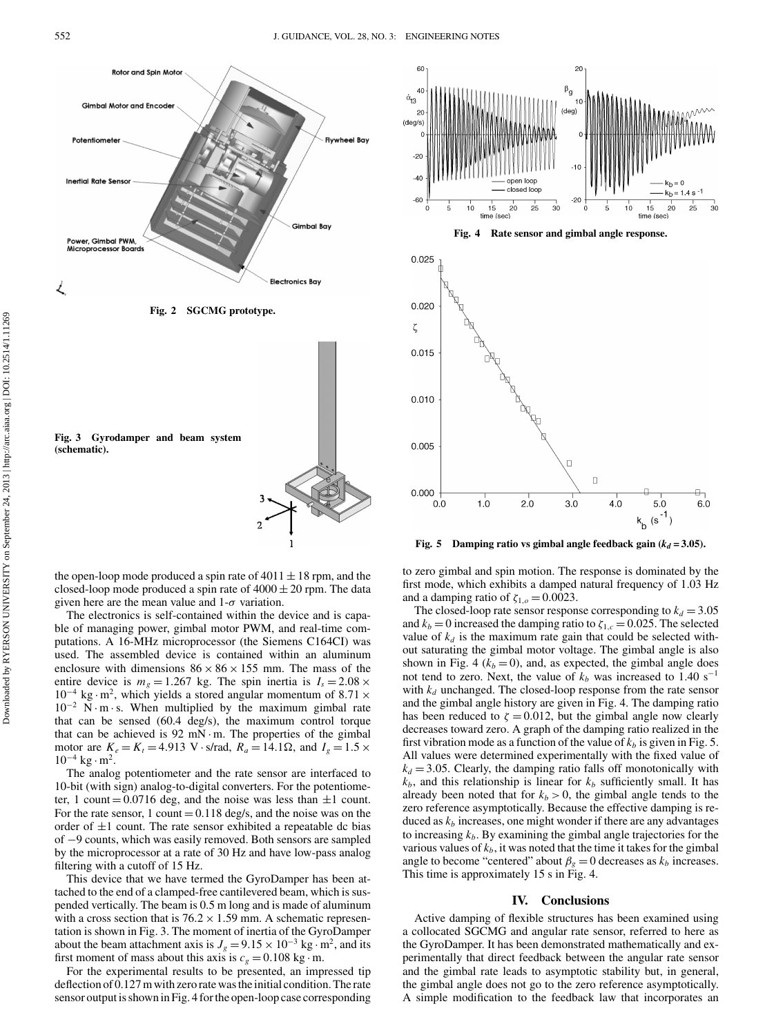

the open-loop mode produced a spin rate of  $4011 \pm 18$  rpm, and the closed-loop mode produced a spin rate of  $4000 \pm 20$  rpm. The data given here are the mean value and  $1-\sigma$  variation.

The electronics is self-contained within the device and is capable of managing power, gimbal motor PWM, and real-time computations. A 16-MHz microprocessor (the Siemens C164CI) was used. The assembled device is contained within an aluminum enclosure with dimensions  $86 \times 86 \times 155$  mm. The mass of the entire device is  $m<sub>g</sub> = 1.267$  kg. The spin inertia is  $I<sub>s</sub> = 2.08 \times$  $10^{-4}$  kg · m<sup>2</sup>, which yields a stored angular momentum of 8.71 ×  $10^{-2}$  N · m · s. When multiplied by the maximum gimbal rate that can be sensed (60.4 deg/s), the maximum control torque that can be achieved is  $92 \text{ mN} \cdot \text{m}$ . The properties of the gimbal motor are  $K_e = K_t = 4.913$  V · s/rad,  $R_a = 14.1\Omega$ , and  $I_g = 1.5 \times$  $10^{-4}$  kg · m<sup>2</sup>.

The analog potentiometer and the rate sensor are interfaced to 10-bit (with sign) analog-to-digital converters. For the potentiometer, 1 count = 0.0716 deg, and the noise was less than  $\pm 1$  count. For the rate sensor,  $1$  count  $= 0.118$  deg/s, and the noise was on the order of  $\pm 1$  count. The rate sensor exhibited a repeatable dc bias of −9 counts, which was easily removed. Both sensors are sampled by the microprocessor at a rate of 30 Hz and have low-pass analog filtering with a cutoff of 15 Hz.

This device that we have termed the GyroDamper has been attached to the end of a clamped-free cantilevered beam, which is suspended vertically. The beam is 0.5 m long and is made of aluminum with a cross section that is  $76.2 \times 1.59$  mm. A schematic representation is shown in Fig. 3. The moment of inertia of the GyroDamper about the beam attachment axis is  $J_g = 9.15 \times 10^{-3}$  kg · m<sup>2</sup>, and its first moment of mass about this axis is  $c_g = 0.108$  kg · m.

For the experimental results to be presented, an impressed tip deflection of 0.127 m with zero rate was the initial condition. The rate sensor output is shown in Fig. 4 for the open-loop case corresponding



**Fig. 5** Damping ratio vs gimbal angle feedback gain  $(k_d = 3.05)$ .

to zero gimbal and spin motion. The response is dominated by the first mode, which exhibits a damped natural frequency of 1.03 Hz and a damping ratio of  $\zeta_{1,o} = 0.0023$ .

The closed-loop rate sensor response corresponding to  $k_d = 3.05$ and  $k_b = 0$  increased the damping ratio to  $\zeta_{1,c} = 0.025$ . The selected value of  $k_d$  is the maximum rate gain that could be selected without saturating the gimbal motor voltage. The gimbal angle is also shown in Fig. 4 ( $k_b = 0$ ), and, as expected, the gimbal angle does not tend to zero. Next, the value of  $k_b$  was increased to 1.40 s<sup>-1</sup> with  $k_d$  unchanged. The closed-loop response from the rate sensor and the gimbal angle history are given in Fig. 4. The damping ratio has been reduced to  $\zeta = 0.012$ , but the gimbal angle now clearly decreases toward zero. A graph of the damping ratio realized in the first vibration mode as a function of the value of  $k_b$  is given in Fig. 5. All values were determined experimentally with the fixed value of  $k_d$  = 3.05. Clearly, the damping ratio falls off monotonically with  $k_b$ , and this relationship is linear for  $k_b$  sufficiently small. It has already been noted that for  $k_b > 0$ , the gimbal angle tends to the zero reference asymptotically. Because the effective damping is reduced as *kb* increases, one might wonder if there are any advantages to increasing  $k_b$ . By examining the gimbal angle trajectories for the various values of  $k<sub>b</sub>$ , it was noted that the time it takes for the gimbal angle to become "centered" about  $\beta_g = 0$  decreases as  $k_b$  increases. This time is approximately 15 s in Fig. 4.

#### **IV. Conclusions**

Active damping of flexible structures has been examined using a collocated SGCMG and angular rate sensor, referred to here as the GyroDamper. It has been demonstrated mathematically and experimentally that direct feedback between the angular rate sensor and the gimbal rate leads to asymptotic stability but, in general, the gimbal angle does not go to the zero reference asymptotically. A simple modification to the feedback law that incorporates an